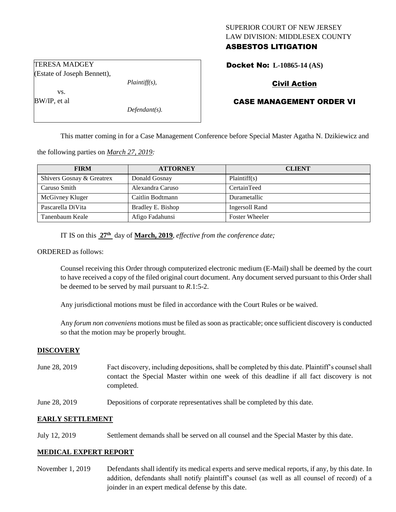# SUPERIOR COURT OF NEW JERSEY LAW DIVISION: MIDDLESEX COUNTY ASBESTOS LITIGATION

Docket No: **L-10865-14 (AS)** 

# Civil Action

## CASE MANAGEMENT ORDER VI

This matter coming in for a Case Management Conference before Special Master Agatha N. Dzikiewicz and

the following parties on *March 27, 2019:*

| <b>FIRM</b>               | <b>ATTORNEY</b>   | <b>CLIENT</b>         |
|---------------------------|-------------------|-----------------------|
| Shivers Gosnay & Greatrex | Donald Gosnay     | Plaintiff(s)          |
| Caruso Smith              | Alexandra Caruso  | CertainTeed           |
| McGivney Kluger           | Caitlin Bodtmann  | Durametallic          |
| Pascarella DiVita         | Bradley E. Bishop | Ingersoll Rand        |
| Tanenbaum Keale           | Afigo Fadahunsi   | <b>Foster Wheeler</b> |

IT IS on this **27th** day of **March, 2019**, *effective from the conference date;*

*Plaintiff(s),*

*Defendant(s).*

#### ORDERED as follows:

Counsel receiving this Order through computerized electronic medium (E-Mail) shall be deemed by the court to have received a copy of the filed original court document. Any document served pursuant to this Order shall be deemed to be served by mail pursuant to *R*.1:5-2.

Any jurisdictional motions must be filed in accordance with the Court Rules or be waived.

Any *forum non conveniens* motions must be filed as soon as practicable; once sufficient discovery is conducted so that the motion may be properly brought.

#### **DISCOVERY**

- June 28, 2019 Fact discovery, including depositions, shall be completed by this date. Plaintiff's counsel shall contact the Special Master within one week of this deadline if all fact discovery is not completed.
- June 28, 2019 Depositions of corporate representatives shall be completed by this date.

#### **EARLY SETTLEMENT**

July 12, 2019 Settlement demands shall be served on all counsel and the Special Master by this date.

#### **MEDICAL EXPERT REPORT**

November 1, 2019 Defendants shall identify its medical experts and serve medical reports, if any, by this date. In addition, defendants shall notify plaintiff's counsel (as well as all counsel of record) of a joinder in an expert medical defense by this date.

TERESA MADGEY (Estate of Joseph Bennett),

vs.

BW/IP, et al